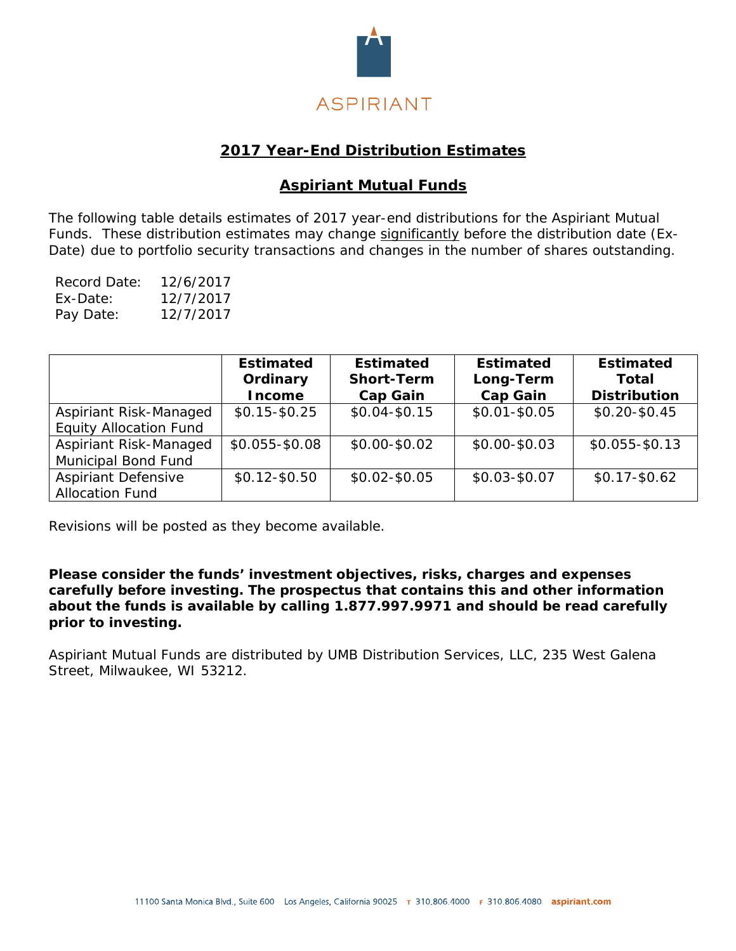

## **2017 Year-End Distribution Estimates**

### **Aspiriant Mutual Funds**

The following table details estimates of 2017 year-end distributions for the Aspiriant Mutual Funds. These distribution estimates may change *significantly* before the distribution date (Ex-Date) due to portfolio security transactions and changes in the number of shares outstanding.

| Record Date: | 12/6/2017 |
|--------------|-----------|
| Ex-Date:     | 12/7/2017 |
| Pay Date:    | 12/7/2017 |

|                               | <b>Estimated</b><br>Ordinary<br><b>Income</b> | <b>Estimated</b><br><b>Short-Term</b><br><b>Cap Gain</b> | <b>Estimated</b><br>Long-Term<br><b>Cap Gain</b> | <b>Estimated</b><br>Total<br><b>Distribution</b> |
|-------------------------------|-----------------------------------------------|----------------------------------------------------------|--------------------------------------------------|--------------------------------------------------|
| Aspiriant Risk-Managed        | $$0.15 - $0.25$                               | $$0.04 - $0.15$                                          | $$0.01 - $0.05$                                  | $$0.20 - $0.45$                                  |
| <b>Equity Allocation Fund</b> |                                               |                                                          |                                                  |                                                  |
| Aspiriant Risk-Managed        | \$0.055-\$0.08                                | \$0.00-\$0.02                                            | \$0.00-\$0.03                                    | $$0.055 - $0.13$                                 |
| Municipal Bond Fund           |                                               |                                                          |                                                  |                                                  |
| <b>Aspiriant Defensive</b>    | $$0.12 - $0.50$                               | $$0.02 - $0.05$                                          | $$0.03 - $0.07$                                  | $$0.17 - $0.62$                                  |
| <b>Allocation Fund</b>        |                                               |                                                          |                                                  |                                                  |

Revisions will be posted as they become available.

#### *Please consider the funds' investment objectives, risks, charges and expenses carefully before investing. The prospectus that contains this and other information about the funds is available by calling 1.877.997.9971 and should be read carefully prior to investing.*

Aspiriant Mutual Funds are distributed by UMB Distribution Services, LLC, 235 West Galena Street, Milwaukee, WI 53212.